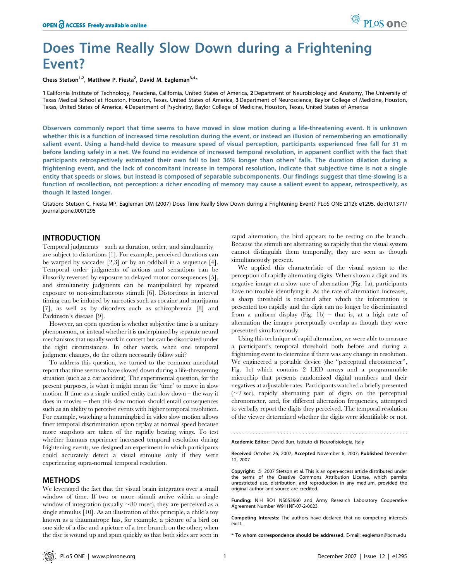# Does Time Really Slow Down during a Frightening Event?

Chess Stetson<sup>1,2</sup>, Matthew P. Fiesta<sup>2</sup>, David M. Eagleman<sup>3,4</sup>\*

1 California Institute of Technology, Pasadena, California, United States of America, 2Department of Neurobiology and Anatomy, The University of Texas Medical School at Houston, Houston, Texas, United States of America, 3Department of Neuroscience, Baylor College of Medicine, Houston, Texas, United States of America, 4Department of Psychiatry, Baylor College of Medicine, Houston, Texas, United States of America

Observers commonly report that time seems to have moved in slow motion during a life-threatening event. It is unknown whether this is a function of increased time resolution during the event, or instead an illusion of remembering an emotionally salient event. Using a hand-held device to measure speed of visual perception, participants experienced free fall for 31 m before landing safely in a net. We found no evidence of increased temporal resolution, in apparent conflict with the fact that participants retrospectively estimated their own fall to last 36% longer than others' falls. The duration dilation during a frightening event, and the lack of concomitant increase in temporal resolution, indicate that subjective time is not a single entity that speeds or slows, but instead is composed of separable subcomponents. Our findings suggest that time-slowing is a function of recollection, not perception: a richer encoding of memory may cause a salient event to appear, retrospectively, as though it lasted longer.

Citation: Stetson C, Fiesta MP, Eagleman DM (2007) Does Time Really Slow Down during a Frightening Event? PLoS ONE 2(12): e1295. doi:10.1371/ journal.pone.0001295

## INTRODUCTION

Temporal judgments – such as duration, order, and simultaneity – are subject to distortions [1]. For example, perceived durations can be warped by saccades [2,3] or by an oddball in a sequence [4]. Temporal order judgments of actions and sensations can be illusorily reversed by exposure to delayed motor consequences [5], and simultaneity judgments can be manipulated by repeated exposure to non-simultaneous stimuli [6]. Distortions in interval timing can be induced by narcotics such as cocaine and marijuana [7], as well as by disorders such as schizophrenia [8] and Parkinson's disease [9].

However, an open question is whether subjective time is a unitary phenomenon, or instead whether it is underpinned by separate neural mechanisms that usually work in concert but can be dissociated under the right circumstances. In other words, when one temporal judgment changes, do the others necessarily follow suit?

To address this question, we turned to the common anecdotal report that time seems to have slowed down during a life-threatening situation (such as a car accident). The experimental question, for the present purposes, is what it might mean for 'time' to move in slow motion. If time as a single unified entity can slow down – the way it does in movies – then this slow motion should entail consequences such as an ability to perceive events with higher temporal resolution. For example, watching a hummingbird in video slow motion allows finer temporal discrimination upon replay at normal speed because more snapshots are taken of the rapidly beating wings. To test whether humans experience increased temporal resolution during frightening events, we designed an experiment in which participants could accurately detect a visual stimulus only if they were experiencing supra-normal temporal resolution.

# METHODS

We leveraged the fact that the visual brain integrates over a small window of time. If two or more stimuli arrive within a single window of integration (usually  $\sim$  80 msec), they are perceived as a single stimulus [10]. As an illustration of this principle, a child's toy known as a thaumatrope has, for example, a picture of a bird on one side of a disc and a picture of a tree branch on the other; when the disc is wound up and spun quickly so that both sides are seen in rapid alternation, the bird appears to be resting on the branch. Because the stimuli are alternating so rapidly that the visual system cannot distinguish them temporally; they are seen as though simultaneously present.

We applied this characteristic of the visual system to the perception of rapidly alternating digits. When shown a digit and its negative image at a slow rate of alternation (Fig. 1a), participants have no trouble identifying it. As the rate of alternation increases, a sharp threshold is reached after which the information is presented too rapidly and the digit can no longer be discriminated from a uniform display  $(Fig. 1b) - that is, at a high rate of$ alternation the images perceptually overlap as though they were presented simultaneously.

Using this technique of rapid alternation, we were able to measure a participant's temporal threshold both before and during a frightening event to determine if there was any change in resolution. We engineered a portable device (the ''perceptual chronometer'', Fig. 1c) which contains 2 LED arrays and a programmable microchip that presents randomized digital numbers and their negatives at adjustable rates. Participants watched a briefly presented  $(\sim)2$  sec), rapidly alternating pair of digits on the perceptual chronometer, and, for different alternation frequencies, attempted to verbally report the digits they perceived. The temporal resolution of the viewer determined whether the digits were identifiable or not.

Academic Editor: David Burr, Istituto di Neurofisiologia, Italy

Received October 26, 2007; Accepted November 6, 2007; Published December 12, 2007

Copyright: © 2007 Stetson et al. This is an open-access article distributed under the terms of the Creative Commons Attribution License, which permits unrestricted use, distribution, and reproduction in any medium, provided the original author and source are credited.

Funding: NIH RO1 NS053960 and Army Research Laboratory Cooperative Agreement Number W911NF-07-2-0023

Competing Interests: The authors have declared that no competing interests exist.

\* To whom correspondence should be addressed. E-mail: eagleman@bcm.edu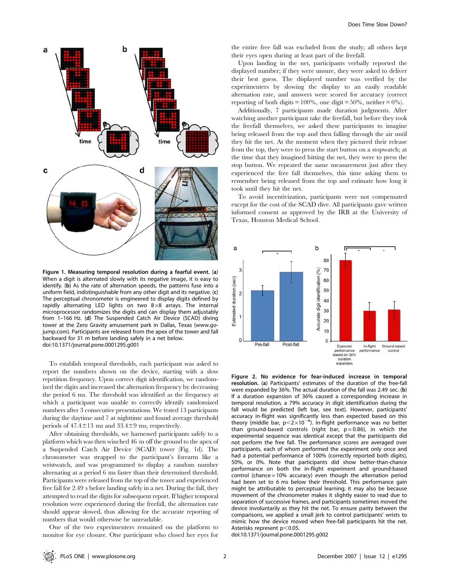

Figure 1. Measuring temporal resolution during a fearful event. (a) When a digit is alternated slowly with its negative image, it is easy to identify. (b) As the rate of alternation speeds, the patterns fuse into a uniform field, indistinguishable from any other digit and its negative. (c) The perceptual chronometer is engineered to display digits defined by rapidly alternating LED lights on two  $8\times8$  arrays. The internal microprocessor randomizes the digits and can display them adjustably from 1–166 Hz. (d) The Suspended Catch Air Device (SCAD) diving tower at the Zero Gravity amusement park in Dallas, Texas (www.gojump.com). Participants are released from the apex of the tower and fall backward for 31 m before landing safely in a net below. doi:10.1371/journal.pone.0001295.g001

To establish temporal thresholds, each participant was asked to report the numbers shown on the device, starting with a slow repetition frequency. Upon correct digit identification, we randomized the digits and increased the alternation frequency by decreasing the period 6 ms. The threshold was identified as the frequency at which a participant was unable to correctly identify randomized numbers after 3 consecutive presentations. We tested 13 participants during the daytime and 7 at nighttime and found average threshold periods of  $47.4 \pm 13$  ms and  $33.4 \pm 9$  ms, respectively.

After obtaining thresholds, we harnessed participants safely to a platform which was then winched 46 m off the ground to the apex of a Suspended Catch Air Device (SCAD) tower (Fig. 1d). The chronometer was strapped to the participant's forearm like a wristwatch, and was programmed to display a random number alternating at a period 6 ms faster than their determined threshold. Participants were released from the top of the tower and experienced free fall for 2.49 s before landing safely in a net. During the fall, they attempted to read the digits for subsequent report. If higher temporal resolution were experienced during the freefall, the alternation rate should appear slowed, thus allowing for the accurate reporting of numbers that would otherwise be unreadable.

One of the two experimenters remained on the platform to monitor for eye closure. One participant who closed her eyes for

the entire free fall was excluded from the study; all others kept their eyes open during at least part of the freefall.

Upon landing in the net, participants verbally reported the displayed number; if they were unsure, they were asked to deliver their best guess. The displayed number was verified by the experimenters by slowing the display to an easily readable alternation rate, and answers were scored for accuracy (correct reporting of both digits  $= 100\%$ , one digit  $= 50\%$ , neither  $= 0\%$ ).

Additionally, 7 participants made duration judgments. After watching another participant take the freefall, but before they took the freefall themselves, we asked these participants to imagine being released from the top and then falling through the air until they hit the net. At the moment when they pictured their release from the top, they were to press the start button on a stopwatch; at the time that they imagined hitting the net, they were to press the stop button. We repeated the same measurement just after they experienced the free fall themselves, this time asking them to remember being released from the top and estimate how long it took until they hit the net.

To avoid incentivization, participants were not compensated except for the cost of the SCAD dive. All participants gave written informed consent as approved by the IRB at the University of Texas, Houston Medical School.



Figure 2. No evidence for fear-induced increase in temporal resolution. (a) Participants' estimates of the duration of the free-fall were expanded by 36%. The actual duration of the fall was 2.49 sec. (b) If a duration expansion of 36% caused a corresponding increase in temporal resolution, a 79% accuracy in digit identification during the fall would be predicted (left bar, see text). However, participants' accuracy in-flight was significantly less than expected based on this theory (middle bar,  $p < 2 \times 10^{-6}$ ). In-flight performance was no better than ground-based controls (right bar,  $p = 0.86$ ), in which the experimental sequence was identical except that the participants did not perform the free fall. The performance scores are averaged over participants, each of whom performed the experiment only once and had a potential performance of 100% (correctly reported both digits), 50%, or 0%. Note that participants did show better-than-chance performance on both the in-flight experiment and ground-based control (chance = 10% accuracy) even though the alternation period had been set to 6 ms below their threshold. This performance gain might be attributable to perceptual learning; it may also be because movement of the chronometer makes it slightly easier to read due to separation of successive frames, and participants sometimes moved the device involuntarily as they hit the net. To ensure parity between the comparisons, we applied a small jerk to control participants' wrists to mimic how the device moved when free-fall participants hit the net. Asterisks represent  $p<0.05$ .

doi:10.1371/journal.pone.0001295.g002